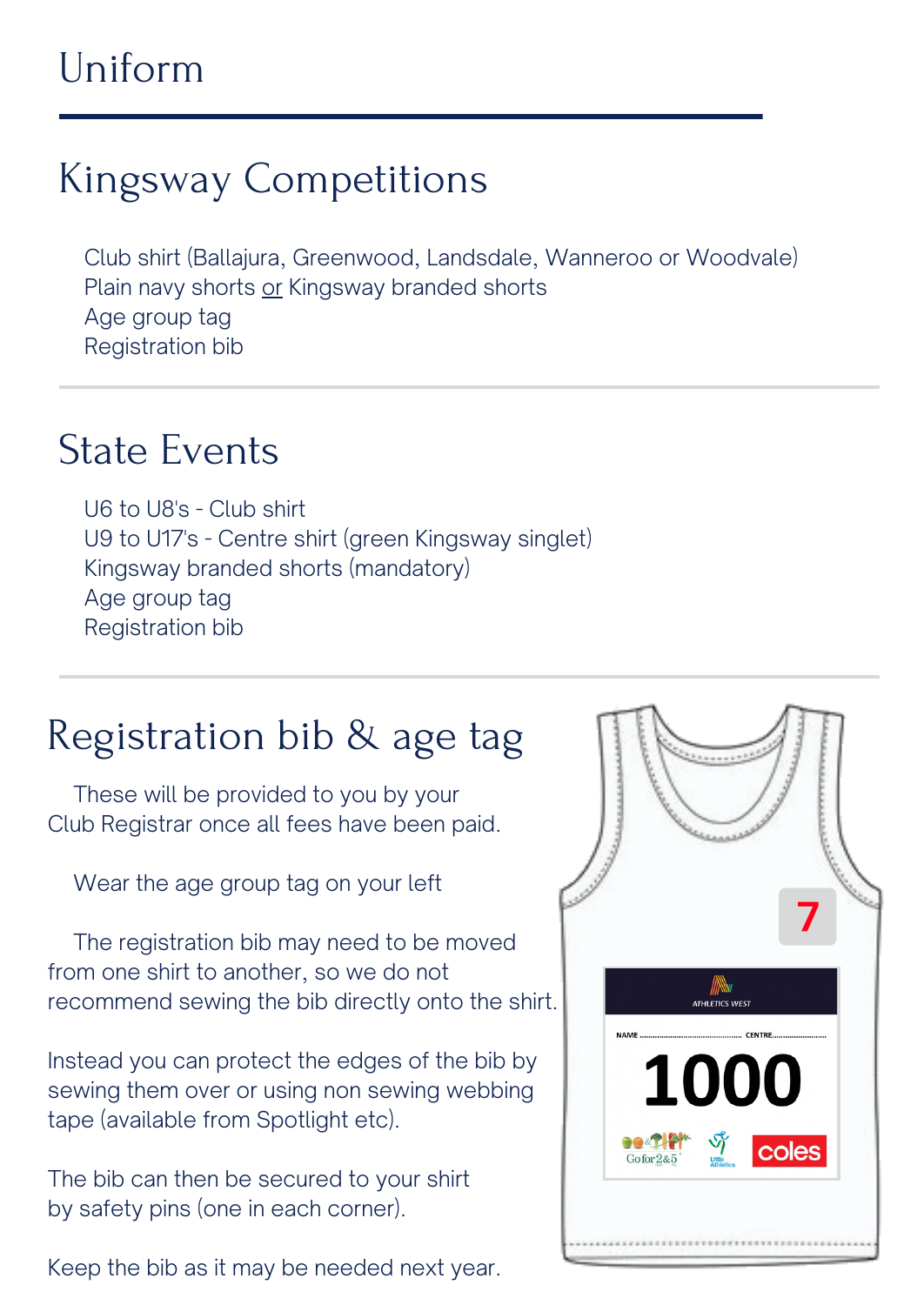### Uniform

Club shirt (Ballajura, Greenwood, Landsdale, Wanneroo or Woodvale) Plain navy shorts or Kingsway branded shorts Age group tag Registration bib

# Kingsway Competitions

#### State Events

U6 to U8's - Club shirt U9 to U17's - Centre shirt (green Kingsway singlet) Kingsway branded shorts (mandatory) Age group tag Registration bib

#### Registration bib & age tag

These will be provided to you by your Club Registrar once all fees have been paid.

Wear the age group tag on your left

The registration bib may need to be moved from one shirt to another, so we do not



recommend sewing the bib directly onto the shirt.

Instead you can protect the edges of the bib by sewing them over or using non sewing webbing tape (available from Spotlight etc).

The bib can then be secured to your shirt by safety pins (one in each corner).

Keep the bib as it may be needed next year.